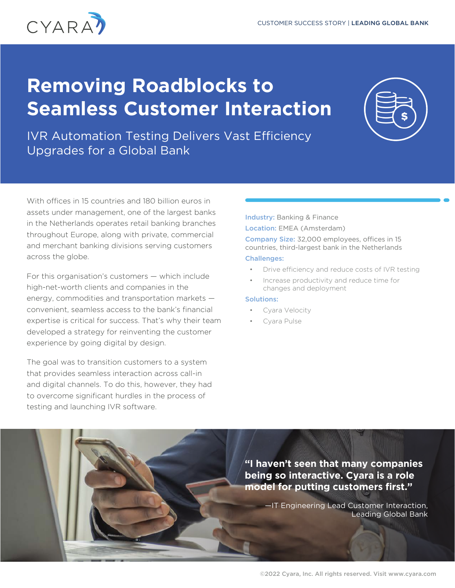

# **Removing Roadblocks to Seamless Customer Interaction**



IVR Automation Testing Delivers Vast Efficiency Upgrades for a Global Bank

With offices in 15 countries and 180 billion euros in assets under management, one of the largest banks in the Netherlands operates retail banking branches throughout Europe, along with private, commercial and merchant banking divisions serving customers across the globe.

For this organisation's customers — which include high-net-worth clients and companies in the energy, commodities and transportation markets convenient, seamless access to the bank's financial expertise is critical for success. That's why their team developed a strategy for reinventing the customer experience by going digital by design.

The goal was to transition customers to a system that provides seamless interaction across call-in and digital channels. To do this, however, they had to overcome significant hurdles in the process of testing and launching IVR software.

Industry: Banking & Finance Location: EMEA (Amsterdam)

Company Size: 32,000 employees, offices in 15 countries, third-largest bank in the Netherlands Challenges:

- Drive efficiency and reduce costs of IVR testing
- Increase productivity and reduce time for changes and deployment

#### Solutions:

- Cyara Velocity
- Cyara Pulse

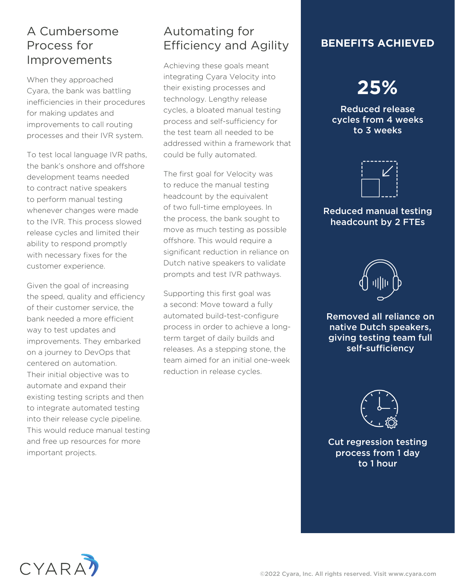## A Cumbersome Process for Improvements

When they approached Cyara, the bank was battling inefficiencies in their procedures for making updates and improvements to call routing processes and their IVR system.

To test local language IVR paths, the bank's onshore and offshore development teams needed to contract native speakers to perform manual testing whenever changes were made to the IVR. This process slowed release cycles and limited their ability to respond promptly with necessary fixes for the customer experience.

Given the goal of increasing the speed, quality and efficiency of their customer service, the bank needed a more efficient way to test updates and improvements. They embarked on a journey to DevOps that centered on automation. Their initial objective was to automate and expand their existing testing scripts and then to integrate automated testing into their release cycle pipeline. This would reduce manual testing and free up resources for more important projects.

## Automating for Efficiency and Agility

Achieving these goals meant integrating Cyara Velocity into their existing processes and technology. Lengthy release cycles, a bloated manual testing process and self-sufficiency for the test team all needed to be addressed within a framework that could be fully automated.

The first goal for Velocity was to reduce the manual testing headcount by the equivalent of two full-time employees. In the process, the bank sought to move as much testing as possible offshore. This would require a significant reduction in reliance on Dutch native speakers to validate prompts and test IVR pathways.

Supporting this first goal was a second: Move toward a fully automated build-test-configure process in order to achieve a longterm target of daily builds and releases. As a stepping stone, the team aimed for an initial one-week reduction in release cycles.

### **BENEFITS ACHIEVED**

## **25%**

Reduced release cycles from 4 weeks to 3 weeks



#### Reduced manual testing headcount by 2 FTEs



Removed all reliance on native Dutch speakers, giving testing team full self-sufficiency



Cut regression testing process from 1 day to 1 hour

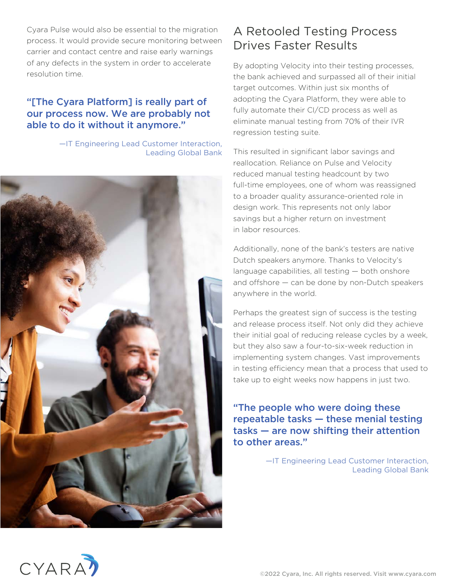Cyara Pulse would also be essential to the migration process. It would provide secure monitoring between carrier and contact centre and raise early warnings of any defects in the system in order to accelerate resolution time.

#### "[The Cyara Platform] is really part of our process now. We are probably not able to do it without it anymore."

—IT Engineering Lead Customer Interaction, Leading Global Bank



## A Retooled Testing Process Drives Faster Results

By adopting Velocity into their testing processes, the bank achieved and surpassed all of their initial target outcomes. Within just six months of adopting the Cyara Platform, they were able to fully automate their CI/CD process as well as eliminate manual testing from 70% of their IVR regression testing suite.

This resulted in significant labor savings and reallocation. Reliance on Pulse and Velocity reduced manual testing headcount by two full-time employees, one of whom was reassigned to a broader quality assurance-oriented role in design work. This represents not only labor savings but a higher return on investment in labor resources.

Additionally, none of the bank's testers are native Dutch speakers anymore. Thanks to Velocity's language capabilities, all testing — both onshore and offshore — can be done by non-Dutch speakers anywhere in the world.

Perhaps the greatest sign of success is the testing and release process itself. Not only did they achieve their initial goal of reducing release cycles by a week, but they also saw a four-to-six-week reduction in implementing system changes. Vast improvements in testing efficiency mean that a process that used to take up to eight weeks now happens in just two.

"The people who were doing these repeatable tasks — these menial testing tasks — are now shifting their attention to other areas."

> —IT Engineering Lead Customer Interaction, Leading Global Bank